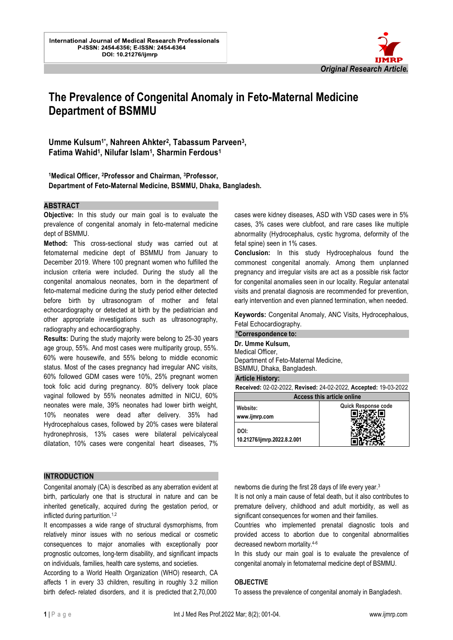

# **The Prevalence of Congenital Anomaly in Feto-Maternal Medicine Department of BSMMU**

l.

Umme Kulsum<sup>1\*</sup>, Nahreen Ahkter<sup>2</sup>, Tabassum Parveen<sup>3</sup>, **Fatima Wahid<sup>1</sup> , Nilufar Islam<sup>1</sup> , Sharmin Ferdous<sup>1</sup>**

# **<sup>1</sup>Medical Officer, 2Professor and Chairman, 3Professor, Department of Feto-Maternal Medicine, BSMMU, Dhaka, Bangladesh.**

#### **ABSTRACT**

**Objective:** In this study our main goal is to evaluate the prevalence of congenital anomaly in feto-maternal medicine dept of BSMMU.

**Method:** This cross-sectional study was carried out at fetomaternal medicine dept of BSMMU from January to December 2019. Where 100 pregnant women who fulfilled the inclusion criteria were included. During the study all the congenital anomalous neonates, born in the department of feto-maternal medicine during the study period either detected before birth by ultrasonogram of mother and fetal echocardiography or detected at birth by the pediatrician and other appropriate investigations such as ultrasonography, radiography and echocardiography.

**Results:** During the study majority were belong to 25-30 years age group, 55%. And most cases were multiparity group, 55%. 60% were housewife, and 55% belong to middle economic status. Most of the cases pregnancy had irregular ANC visits, 60% followed GDM cases were 10%, 25% pregnant women took folic acid during pregnancy. 80% delivery took place vaginal followed by 55% neonates admitted in NICU, 60% neonates were male, 39% neonates had lower birth weight, 10% neonates were dead after delivery. 35% had Hydrocephalous cases, followed by 20% cases were bilateral hydronephrosis, 13% cases were bilateral pelvicalyceal dilatation, 10% cases were congenital heart diseases, 7%

#### **INTRODUCTION**

Congenital anomaly (CA) is described as any aberration evident at birth, particularly one that is structural in nature and can be inherited genetically, acquired during the gestation period, or inflicted during parturition.1,2

It encompasses a wide range of structural dysmorphisms, from relatively minor issues with no serious medical or cosmetic consequences to major anomalies with exceptionally poor prognostic outcomes, long-term disability, and significant impacts on individuals, families, health care systems, and societies.

According to a World Health Organization (WHO) research, CA affects 1 in every 33 children, resulting in roughly 3.2 million birth defect- related disorders, and it is predicted that 2,70,000

cases were kidney diseases, ASD with VSD cases were in 5% cases, 3% cases were clubfoot, and rare cases like multiple abnormality (Hydrocephalus, cystic hygroma, deformity of the fetal spine) seen in 1% cases.

**Conclusion:** In this study Hydrocephalous found the commonest congenital anomaly. Among them unplanned pregnancy and irregular visits are act as a possible risk factor for congenital anomalies seen in our locality. Regular antenatal visits and prenatal diagnosis are recommended for prevention, early intervention and even planned termination, when needed.

**Keywords:** Congenital Anomaly, ANC Visits, Hydrocephalous, Fetal Echocardiography.

#### **\*Correspondence to: Dr. Umme Kulsum,**  Medical Officer, Department of Feto-Maternal Medicine, BSMMU, Dhaka, Bangladesh. **Article History:**

**Received:** 02-02-2022, **Revised:** 24-02-2022, **Accepted:** 19-03-2022

| <b>Access this article online</b>   |                            |
|-------------------------------------|----------------------------|
| Website:<br>www.ijmrp.com           | <b>Quick Response code</b> |
| DOI:<br>10.21276/ijmrp.2022.8.2.001 |                            |

newborns die during the first 28 days of life every year.<sup>3</sup>

It is not only a main cause of fetal death, but it also contributes to premature delivery, childhood and adult morbidity, as well as significant consequences for women and their families.

Countries who implemented prenatal diagnostic tools and provided access to abortion due to congenital abnormalities decreased newborn mortality.4-6

In this study our main goal is to evaluate the prevalence of congenital anomaly in fetomaternal medicine dept of BSMMU.

#### **OBJECTIVE**

To assess the prevalence of congenital anomaly in Bangladesh.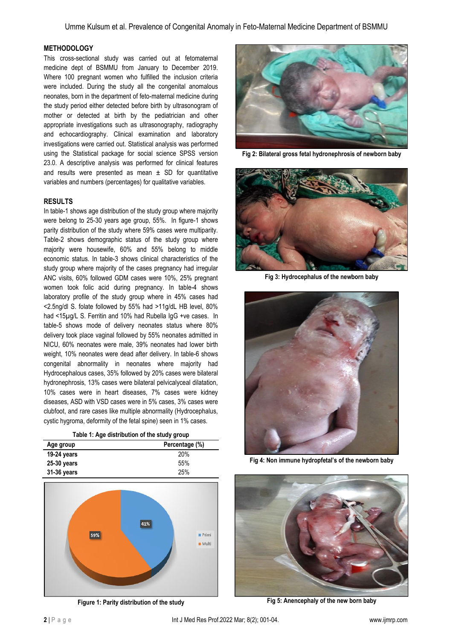## **METHODOLOGY**

This cross-sectional study was carried out at fetomaternal medicine dept of BSMMU from January to December 2019. Where 100 pregnant women who fulfilled the inclusion criteria were included. During the study all the congenital anomalous neonates, born in the department of feto-maternal medicine during the study period either detected before birth by ultrasonogram of mother or detected at birth by the pediatrician and other appropriate investigations such as ultrasonography, radiography and echocardiography. Clinical examination and laboratory investigations were carried out. Statistical analysis was performed using the Statistical package for social science SPSS version 23.0. A descriptive analysis was performed for clinical features and results were presented as mean  $\pm$  SD for quantitative variables and numbers (percentages) for qualitative variables.

## **RESULTS**

In table-1 shows age distribution of the study group where majority were belong to 25-30 years age group, 55%. In figure-1 shows parity distribution of the study where 59% cases were multiparity. Table-2 shows demographic status of the study group where majority were housewife, 60% and 55% belong to middle economic status. In table-3 shows clinical characteristics of the study group where majority of the cases pregnancy had irregular ANC visits, 60% followed GDM cases were 10%, 25% pregnant women took folic acid during pregnancy. In table-4 shows laboratory profile of the study group where in 45% cases had <2.5ng/dl S. folate followed by 55% had >11g/dL HB level, 80% had <15µg/L S. Ferritin and 10% had Rubella IgG +ve cases. In table-5 shows mode of delivery neonates status where 80% delivery took place vaginal followed by 55% neonates admitted in NICU, 60% neonates were male, 39% neonates had lower birth weight, 10% neonates were dead after delivery. In table-6 shows congenital abnormality in neonates where majority had Hydrocephalous cases, 35% followed by 20% cases were bilateral hydronephrosis, 13% cases were bilateral pelvicalyceal dilatation, 10% cases were in heart diseases, 7% cases were kidney diseases, ASD with VSD cases were in 5% cases, 3% cases were clubfoot, and rare cases like multiple abnormality (Hydrocephalus, cystic hygroma, deformity of the fetal spine) seen in 1% cases.

| Table 1: Age distribution of the study group |  |
|----------------------------------------------|--|
|----------------------------------------------|--|

| Age group     | Percentage (%) |
|---------------|----------------|
| 19-24 years   | <b>20%</b>     |
| $25-30$ years | 55%            |
| 31-36 years   | 25%            |



**Figure 1: Parity distribution of the study**



**Fig 2: Bilateral gross fetal hydronephrosis of newborn baby**



**Fig 3: Hydrocephalus of the newborn baby**



**Fig 4: Non immune hydropfetal's of the newborn baby**



**Fig 5: Anencephaly of the new born baby**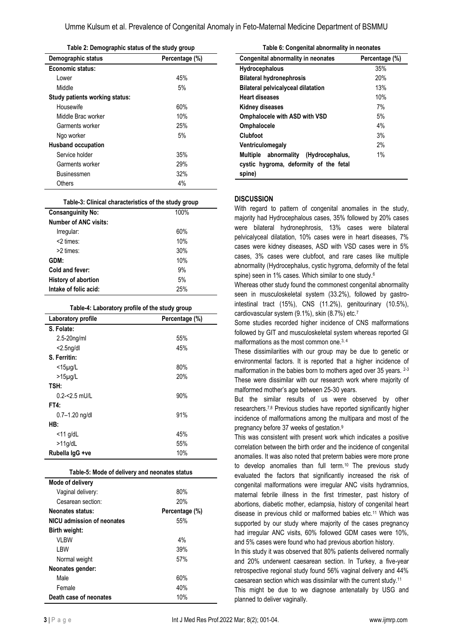Umme Kulsum et al. Prevalence of Congenital Anomaly in Feto-Maternal Medicine Department of BSMMU

| Table 2: Demographic status of the study group |     |  |
|------------------------------------------------|-----|--|
| Demographic status<br>Percentage (%)           |     |  |
| Economic status:                               |     |  |
| I ower                                         | 45% |  |
| Middle                                         | 5%  |  |
| Study patients working status:                 |     |  |
| Housewife                                      | 60% |  |
| Middle Brac worker                             | 10% |  |
| Garments worker                                | 25% |  |
| Ngo worker                                     | 5%  |  |
| <b>Husband occupation</b>                      |     |  |

| Service holder     | 35% |
|--------------------|-----|
| Garments worker    | 29% |
| <b>Businessmen</b> | 32% |
| Others             | 4%  |
|                    |     |

|  | Table-3: Clinical characteristics of the study group |  |  |
|--|------------------------------------------------------|--|--|
|  |                                                      |  |  |

| <b>Consanguinity No:</b>     | 100% |
|------------------------------|------|
| <b>Number of ANC visits:</b> |      |
| Irregular:                   | 60%  |
| $<$ 2 times:                 | 10%  |
| >2 times:                    | 30%  |
| GDM:                         | 10%  |
| Cold and fever:              | 9%   |
| History of abortion          | 5%   |
| Intake of folic acid:        | 25%  |
|                              |      |

#### **Table-4: Laboratory profile of the study group**

| Laboratory profile | Percentage (%) |
|--------------------|----------------|
| S. Folate:         |                |
| $2.5 - 20$ ng/ml   | 55%            |
| $<$ 2.5 $n$ g/dl   | 45%            |
| S. Ferritin:       |                |
| $<$ 15 $\mu$ g/L   | 80%            |
| $>15\mu$ g/L       | 20%            |
| TSH:               |                |
| $0.2 - 2.5$ mU/L   | 90%            |
| <b>FT4:</b>        |                |
| $0.7 - 1.20$ ng/dl | 91%            |
| HB:                |                |
| $<$ 11 g/dL        | 45%            |
| $>11$ g/dL         | 55%            |
| Rubella IqG +ve    | 10%            |

| Table-5: Mode of delivery and neonates status |                |  |
|-----------------------------------------------|----------------|--|
| Mode of delivery                              |                |  |
| Vaginal delivery:                             | 80%            |  |
| Cesarean section:                             | 20%            |  |
| <b>Neonates status:</b>                       | Percentage (%) |  |
| NICU admission of neonates                    | 55%            |  |
| Birth weight:                                 |                |  |
| vi BW                                         | 4%             |  |
| i BW                                          | 39%            |  |
| Normal weight                                 | 57%            |  |
| Neonates gender:                              |                |  |
| Male                                          | 60%            |  |
| Female                                        | 40%            |  |
| Death case of neonates                        | 10%            |  |

| Table 6: Congenital abnormality in neonates |                |  |
|---------------------------------------------|----------------|--|
| <b>Congenital abnormality in neonates</b>   | Percentage (%) |  |
| Hydrocephalous                              | 35%            |  |
| <b>Bilateral hydronephrosis</b>             | 20%            |  |
| <b>Bilateral pelvicalyceal dilatation</b>   | 13%            |  |
| <b>Heart diseases</b>                       | 10%            |  |
| Kidney diseases                             | 7%             |  |
| <b>Omphalocele with ASD with VSD</b>        | 5%             |  |
| <b>Omphalocele</b>                          | 4%             |  |
| Clubfoot                                    | 3%             |  |
| Ventriculomegaly                            | 2%             |  |
| abnormality (Hydrocephalus,<br>Multiple     | 1%             |  |
| cystic hygroma, deformity of the fetal      |                |  |
| spine)                                      |                |  |

#### **DISCUSSION**

With regard to pattern of congenital anomalies in the study, majority had Hydrocephalous cases, 35% followed by 20% cases were bilateral hydronephrosis, 13% cases were bilateral pelvicalyceal dilatation, 10% cases were in heart diseases, 7% cases were kidney diseases, ASD with VSD cases were in 5% cases, 3% cases were clubfoot, and rare cases like multiple abnormality (Hydrocephalus, cystic hygroma, deformity of the fetal spine) seen in 1% cases. Which similar to one study.<sup>6</sup>

Whereas other study found the commonest congenital abnormality seen in musculoskeletal system (33.2%), followed by gastrointestinal tract (15%), CNS (11.2%), genitourinary (10.5%), cardiovascular system (9.1%), skin (8.7%) etc.<sup>7</sup>

Some studies recorded higher incidence of CNS malformations followed by GIT and musculoskeletal system whereas reported GI malformations as the most common one.3, 4

These dissimilarities with our group may be due to genetic or environmental factors. It is reported that a higher incidence of malformation in the babies born to mothers aged over 35 years. <sup>2-3</sup> These were dissimilar with our research work where majority of malformed mother's age between 25-30 years.

But the similar results of us were observed by other researchers.7,8 Previous studies have reported significantly higher incidence of malformations among the multipara and most of the pregnancy before 37 weeks of gestation.<sup>9</sup>

This was consistent with present work which indicates a positive correlation between the birth order and the incidence of congenital anomalies. It was also noted that preterm babies were more prone to develop anomalies than full term.<sup>10</sup> The previous study evaluated the factors that significantly increased the risk of congenital malformations were irregular ANC visits hydramnios, maternal febrile illness in the first trimester, past history of abortions, diabetic mother, eclampsia, history of congenital heart disease in previous child or malformed babies etc.<sup>11</sup> Which was supported by our study where majority of the cases pregnancy had irregular ANC visits, 60% followed GDM cases were 10%, and 5% cases were found who had previous abortion history.

In this study it was observed that 80% patients delivered normally and 20% underwent caesarean section. In Turkey, a five-year retrospective regional study found 56% vaginal delivery and 44% caesarean section which was dissimilar with the current study.<sup>11</sup>

This might be due to we diagnose antenatally by USG and planned to deliver vaginally.